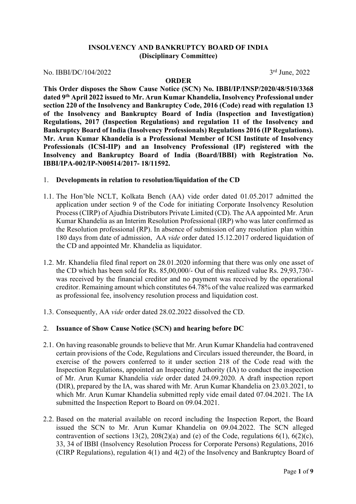## **INSOLVENCY AND BANKRUPTCY BOARD OF INDIA (Disciplinary Committee)**

No. IBBI/DC/104/2022 3rd June, 2022

#### **ORDER**

**This Order disposes the Show Cause Notice (SCN) No. IBBI/IP/INSP/2020/48/510/3368 dated 9th April 2022 issued to Mr. Arun Kumar Khandelia, Insolvency Professional under section 220 of the Insolvency and Bankruptcy Code, 2016 (Code) read with regulation 13 of the Insolvency and Bankruptcy Board of India (Inspection and Investigation) Regulations, 2017 (Inspection Regulations) and regulation 11 of the Insolvency and Bankruptcy Board of India (Insolvency Professionals) Regulations 2016 (IP Regulations). Mr. Arun Kumar Khandelia is a Professional Member of ICSI Institute of Insolvency Professionals (ICSI-IIP) and an Insolvency Professional (IP) registered with the Insolvency and Bankruptcy Board of India (Board/IBBI) with Registration No. IBBI/IPA-002/IP-N00514/2017- 18/11592.** 

#### 1. **Developments in relation to resolution/liquidation of the CD**

- 1.1. The Hon'ble NCLT, Kolkata Bench (AA) vide order dated 01.05.2017 admitted the application under section 9 of the Code for initiating Corporate Insolvency Resolution Process (CIRP) of Ajudhia Distributors Private Limited (CD). The AA appointed Mr. Arun Kumar Khandelia as an Interim Resolution Professional (IRP) who was later confirmed as the Resolution professional (RP). In absence of submission of any resolution plan within 180 days from date of admission, AA *vide* order dated 15.12.2017 ordered liquidation of the CD and appointed Mr. Khandelia as liquidator.
- 1.2. Mr. Khandelia filed final report on 28.01.2020 informing that there was only one asset of the CD which has been sold for Rs. 85,00,000/- Out of this realized value Rs. 29,93,730/ was received by the financial creditor and no payment was received by the operational creditor. Remaining amount which constitutes 64.78% of the value realized was earmarked as professional fee, insolvency resolution process and liquidation cost.
- 1.3. Consequently, AA *vide* order dated 28.02.2022 dissolved the CD.

#### 2. **Issuance of Show Cause Notice (SCN) and hearing before DC**

- 2.1. On having reasonable grounds to believe that Mr. Arun Kumar Khandelia had contravened certain provisions of the Code, Regulations and Circulars issued thereunder, the Board, in exercise of the powers conferred to it under section 218 of the Code read with the Inspection Regulations, appointed an Inspecting Authority (IA) to conduct the inspection of Mr. Arun Kumar Khandelia *vide* order dated 24.09.2020. A draft inspection report (DIR), prepared by the IA, was shared with Mr. Arun Kumar Khandelia on 23.03.2021, to which Mr. Arun Kumar Khandelia submitted reply vide email dated 07.04.2021. The IA submitted the Inspection Report to Board on 09.04.2021.
- 2.2. Based on the material available on record including the Inspection Report, the Board issued the SCN to Mr. Arun Kumar Khandelia on 09.04.2022. The SCN alleged contravention of sections 13(2), 208(2)(a) and (e) of the Code, regulations  $6(1)$ ,  $6(2)(c)$ , 33, 34 of IBBI (Insolvency Resolution Process for Corporate Persons) Regulations, 2016 (CIRP Regulations), regulation 4(1) and 4(2) of the Insolvency and Bankruptcy Board of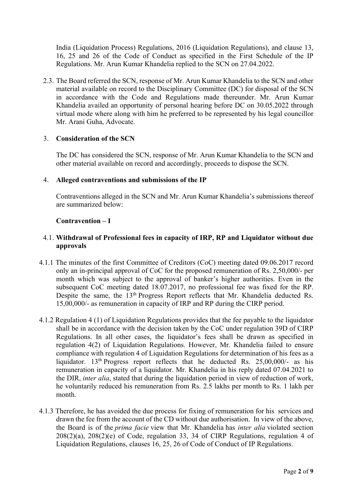India (Liquidation Process) Regulations, 2016 (Liquidation Regulations), and clause 13, 16, 25 and 26 of the Code of Conduct as specified in the First Schedule of the IP Regulations. Mr. Arun Kumar Khandelia replied to the SCN on 27.04.2022.

2.3. The Board referred the SCN, response of Mr. Arun Kumar Khandelia to the SCN and other material available on record to the Disciplinary Committee (DC) for disposal of the SCN in accordance with the Code and Regulations made thereunder. Mr. Arun Kumar Khandelia availed an opportunity of personal hearing before DC on 30.05.2022 through virtual mode where along with him he preferred to be represented by his legal councillor Mr. Arani Guha, Advocate.

## 3. **Consideration of the SCN**

The DC has considered the SCN, response of Mr. Arun Kumar Khandelia to the SCN and other material available on record and accordingly, proceeds to dispose the SCN.

#### 4. **Alleged contraventions and submissions of the IP**

Contraventions alleged in the SCN and Mr. Arun Kumar Khandelia's submissions thereof are summarized below:

## **Contravention – I**

## 4.1. **Withdrawal of Professional fees in capacity of IRP, RP and Liquidator without due approvals**

- 4.1.1 The minutes of the first Committee of Creditors (CoC) meeting dated 09.06.2017 record only an in-principal approval of CoC for the proposed remuneration of Rs. 2,50,000/- per month which was subject to the approval of banker's higher authorities. Even in the subsequent CoC meeting dated 18.07.2017, no professional fee was fixed for the RP. Despite the same, the 13th Progress Report reflects that Mr. Khandelia deducted Rs. 15,00,000/- as remuneration in capacity of IRP and RP during the CIRP period.
- 4.1.2 Regulation 4 (1) of Liquidation Regulations provides that the fee payable to the liquidator shall be in accordance with the decision taken by the CoC under regulation 39D of CIRP Regulations. In all other cases, the liquidator's fees shall be drawn as specified in regulation 4(2) of Liquidation Regulations. However, Mr. Khandelia failed to ensure compliance with regulation 4 of Liquidation Regulations for determination of his fees as a liquidator. 13<sup>th</sup> Progress report reflects that he deducted Rs. 25,00,000/- as his remuneration in capacity of a liquidator. Mr. Khandelia in his reply dated 07.04.2021 to the DIR, *inter alia*, stated that during the liquidation period in view of reduction of work, he voluntarily reduced his remuneration from Rs. 2.5 lakhs per month to Rs. 1 lakh per month.
- 4.1.3 Therefore, he has avoided the due process for fixing of remuneration for his services and drawn the fee from the account of the CD without due authorisation. In view of the above, the Board is of the *prima facie* view that Mr. Khandelia has *inter alia* violated section  $208(2)(a)$ ,  $208(2)(e)$  of Code, regulation 33, 34 of CIRP Regulations, regulation 4 of Liquidation Regulations, clauses 16, 25, 26 of Code of Conduct of IP Regulations.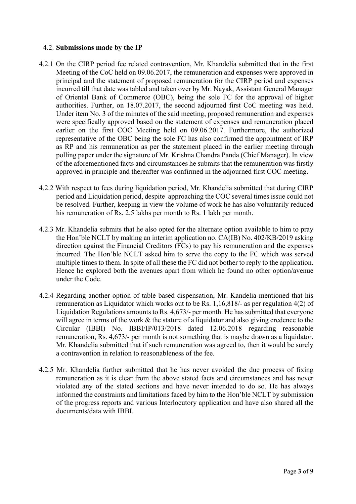## 4.2. **Submissions made by the IP**

- 4.2.1 On the CIRP period fee related contravention, Mr. Khandelia submitted that in the first Meeting of the CoC held on 09.06.2017, the remuneration and expenses were approved in principal and the statement of proposed remuneration for the CIRP period and expenses incurred till that date was tabled and taken over by Mr. Nayak, Assistant General Manager of Oriental Bank of Commerce (OBC), being the sole FC for the approval of higher authorities. Further, on 18.07.2017, the second adjourned first CoC meeting was held. Under item No. 3 of the minutes of the said meeting, proposed remuneration and expenses were specifically approved based on the statement of expenses and remuneration placed earlier on the first COC Meeting held on 09.06.2017. Furthermore, the authorized representative of the OBC being the sole FC has also confirmed the appointment of IRP as RP and his remuneration as per the statement placed in the earlier meeting through polling paper under the signature of Mr. Krishna Chandra Panda (Chief Manager). In view of the aforementioned facts and circumstances he submits that the remuneration was firstly approved in principle and thereafter was confirmed in the adjourned first COC meeting.
- 4.2.2 With respect to fees during liquidation period, Mr. Khandelia submitted that during CIRP period and Liquidation period, despite approaching the COC several times issue could not be resolved. Further, keeping in view the volume of work he has also voluntarily reduced his remuneration of Rs. 2.5 lakhs per month to Rs. 1 lakh per month.
- 4.2.3 Mr. Khandelia submits that he also opted for the alternate option available to him to pray the Hon'ble NCLT by making an interim application no. CA(IB) No. 402/KB/2019 asking direction against the Financial Creditors (FCs) to pay his remuneration and the expenses incurred. The Hon'ble NCLT asked him to serve the copy to the FC which was served multiple times to them. In spite of all these the FC did not bother to reply to the application. Hence he explored both the avenues apart from which he found no other option/avenue under the Code.
- 4.2.4 Regarding another option of table based dispensation, Mr. Kandelia mentioned that his remuneration as Liquidator which works out to be Rs. 1,16,818/- as per regulation 4(2) of Liquidation Regulations amounts to Rs. 4,673/- per month. He has submitted that everyone will agree in terms of the work & the stature of a liquidator and also giving credence to the Circular (IBBI) No. IBBI/IP/013/2018 dated 12.06.2018 regarding reasonable remuneration, Rs. 4,673/- per month is not something that is maybe drawn as a liquidator. Mr. Khandelia submitted that if such remuneration was agreed to, then it would be surely a contravention in relation to reasonableness of the fee.
- 4.2.5 Mr. Khandelia further submitted that he has never avoided the due process of fixing remuneration as it is clear from the above stated facts and circumstances and has never violated any of the stated sections and have never intended to do so. He has always informed the constraints and limitations faced by him to the Hon'ble NCLT by submission of the progress reports and various Interlocutory application and have also shared all the documents/data with IBBI.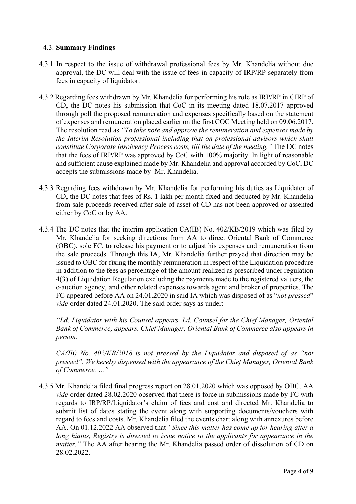## 4.3. **Summary Findings**

- 4.3.1 In respect to the issue of withdrawal professional fees by Mr. Khandelia without due approval, the DC will deal with the issue of fees in capacity of IRP/RP separately from fees in capacity of liquidator.
- 4.3.2 Regarding fees withdrawn by Mr. Khandelia for performing his role as IRP/RP in CIRP of CD, the DC notes his submission that CoC in its meeting dated 18.07.2017 approved through poll the proposed remuneration and expenses specifically based on the statement of expenses and remuneration placed earlier on the first COC Meeting held on 09.06.2017. The resolution read as *"To take note and approve the remuneration and expenses made by the Interim Resolution professional including that on professional advisors which shall constitute Corporate Insolvency Process costs, till the date of the meeting."* The DC notes that the fees of IRP/RP was approved by CoC with 100% majority. In light of reasonable and sufficient cause explained made by Mr. Khandelia and approval accorded by CoC, DC accepts the submissions made by Mr. Khandelia.
- 4.3.3 Regarding fees withdrawn by Mr. Khandelia for performing his duties as Liquidator of CD, the DC notes that fees of Rs. 1 lakh per month fixed and deducted by Mr. Khandelia from sale proceeds received after sale of asset of CD has not been approved or assented either by CoC or by AA.
- 4.3.4 The DC notes that the interim application CA(IB) No. 402/KB/2019 which was filed by Mr. Khandelia for seeking directions from AA to direct Oriental Bank of Commerce (OBC), sole FC, to release his payment or to adjust his expenses and remuneration from the sale proceeds. Through this IA, Mr. Khandelia further prayed that direction may be issued to OBC for fixing the monthly remuneration in respect of the Liquidation procedure in addition to the fees as percentage of the amount realized as prescribed under regulation 4(3) of Liquidation Regulation excluding the payments made to the registered valuers, the e-auction agency, and other related expenses towards agent and broker of properties. The FC appeared before AA on 24.01.2020 in said IA which was disposed of as "*not pressed*" *vide* order dated 24.01.2020. The said order says as under:

*"Ld. Liquidator with his Counsel appears. Ld. Counsel for the Chief Manager, Oriental Bank of Commerce, appears. Chief Manager, Oriental Bank of Commerce also appears in person.*

*CA(IB) No. 402/KB/2018 is not pressed by the Liquidator and disposed of as "not pressed". We hereby dispensed with the appearance of the Chief Manager, Oriental Bank of Commerce. …"*

4.3.5 Mr. Khandelia filed final progress report on 28.01.2020 which was opposed by OBC. AA *vide* order dated 28.02.2020 observed that there is force in submissions made by FC with regards to IRP/RP/Liquidator's claim of fees and cost and directed Mr. Khandelia to submit list of dates stating the event along with supporting documents/vouchers with regard to fees and costs. Mr. Khandelia filed the events chart along with annexures before AA. On 01.12.2022 AA observed that *"Since this matter has come up for hearing after a long hiatus, Registry is directed to issue notice to the applicants for appearance in the matter.*" The AA after hearing the Mr. Khandelia passed order of dissolution of CD on 28.02.2022.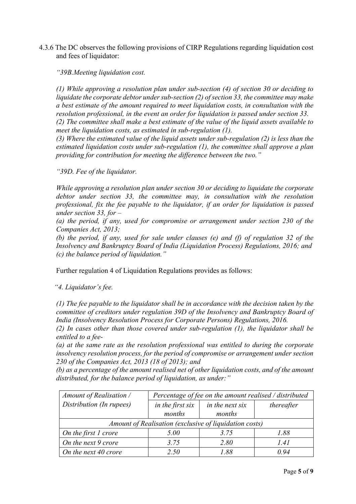4.3.6 The DC observes the following provisions of CIRP Regulations regarding liquidation cost and fees of liquidator:

*"39B.Meeting liquidation cost.* 

*(1) While approving a resolution plan under sub-section (4) of section 30 or deciding to liquidate the corporate debtor under sub-section (2) of section 33, the committee may make a best estimate of the amount required to meet liquidation costs, in consultation with the resolution professional, in the event an order for liquidation is passed under section 33.* 

*(2) The committee shall make a best estimate of the value of the liquid assets available to meet the liquidation costs, as estimated in sub-regulation (1).* 

*(3) Where the estimated value of the liquid assets under sub-regulation (2) is less than the estimated liquidation costs under sub-regulation (1), the committee shall approve a plan providing for contribution for meeting the difference between the two."*

*"39D. Fee of the liquidator.*

*While approving a resolution plan under section 30 or deciding to liquidate the corporate debtor under section 33, the committee may, in consultation with the resolution professional, fix the fee payable to the liquidator, if an order for liquidation is passed under section 33, for –*

*(a) the period, if any, used for compromise or arrangement under section 230 of the Companies Act, 2013;* 

*(b) the period, if any, used for sale under clauses (e) and (f) of regulation 32 of the Insolvency and Bankruptcy Board of India (Liquidation Process) Regulations, 2016; and (c) the balance period of liquidation."*

Further regulation 4 of Liquidation Regulations provides as follows:

*"4. Liquidator's fee.*

*(1) The fee payable to the liquidator shall be in accordance with the decision taken by the committee of creditors under regulation 39D of the Insolvency and Bankruptcy Board of India (Insolvency Resolution Process for Corporate Persons) Regulations, 2016.*

*(2) In cases other than those covered under sub-regulation (1), the liquidator shall be entitled to a fee-*

*(a) at the same rate as the resolution professional was entitled to during the corporate insolvency resolution process, for the period of compromise or arrangement under section 230 of the Companies Act, 2013 (18 of 2013); and* 

*(b) as a percentage of the amount realised net of other liquidation costs, and of the amount distributed, for the balance period of liquidation, as under:"*

| Amount of Realisation /                                | Percentage of fee on the amount realised / distributed |                 |            |  |
|--------------------------------------------------------|--------------------------------------------------------|-----------------|------------|--|
| Distribution (In rupees)                               | in the first six                                       | in the next six | thereafter |  |
|                                                        | months                                                 | months          |            |  |
| Amount of Realisation (exclusive of liquidation costs) |                                                        |                 |            |  |
| On the first 1 crore                                   | 5.00                                                   | 3.75            | 1.88       |  |
| On the next 9 crore                                    | 3.75                                                   | 2.80            | 1.41       |  |
| On the next 40 crore                                   | 2.50                                                   | 1 88            | O 94       |  |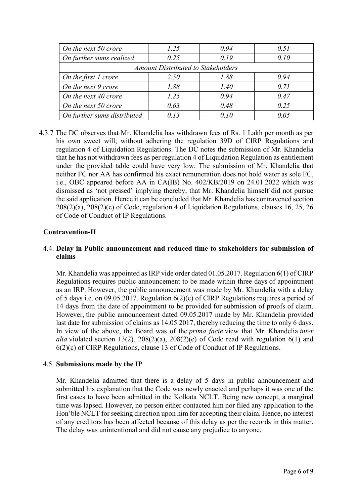| On the next 50 crore                      | 1.25 | 0.94 | 0.51  |  |
|-------------------------------------------|------|------|-------|--|
| On further sums realized                  | 0.25 | 0.19 | 0.10  |  |
| <b>Amount Distributed to Stakeholders</b> |      |      |       |  |
| On the first 1 crore                      | 2.50 | 1.88 | 0.94  |  |
| On the next 9 crore                       | 1.88 | 1.40 | 0.71  |  |
| On the next 40 crore                      | 1.25 | 0.94 | 0.47  |  |
| On the next 50 crore                      | 0.63 | 0.48 | 0.25  |  |
| On further sums distributed               | 0.13 | 0.10 | 0 O 5 |  |

4.3.7 The DC observes that Mr. Khandelia has withdrawn fees of Rs. 1 Lakh per month as per his own sweet will, without adhering the regulation 39D of CIRP Regulations and regulation 4 of Liquidation Regulations. The DC notes the submission of Mr. Khandelia that he has not withdrawn fees as per regulation 4 of Liquidation Regulation as entitlement under the provided table could have very low. The submission of Mr. Khandelia that neither FC nor AA has confirmed his exact remuneration does not hold water as sole FC, i.e., OBC appeared before AA in CA(IB) No. 402/KB/2019 on 24.01.2022 which was dismissed as 'not pressed' implying thereby, that Mr. Khandelia himself did not pursue the said application. Hence it can be concluded that Mr. Khandelia has contravened section 208(2)(a), 208(2)(e) of Code, regulation 4 of Liquidation Regulations, clauses 16, 25, 26 of Code of Conduct of IP Regulations.

## **Contravention-II**

## 4.4. **Delay in Public announcement and reduced time to stakeholders for submission of claims**

Mr. Khandelia was appointed as IRP vide order dated 01.05.2017. Regulation 6(1) of CIRP Regulations requires public announcement to be made within three days of appointment as an IRP. However, the public announcement was made by Mr. Khandelia with a delay of 5 days i.e. on 09.05.2017. Regulation 6(2)(c) of CIRP Regulations requires a period of 14 days from the date of appointment to be provided for submission of proofs of claim. However, the public announcement dated 09.05.2017 made by Mr. Khandelia provided last date for submission of claims as 14.05.2017, thereby reducing the time to only 6 days. In view of the above, the Board was of the *prima facie* view that Mr. Khandelia *inter alia* violated section 13(2), 208(2)(a), 208(2)(e) of Code read with regulation  $6(1)$  and 6(2)(c) of CIRP Regulations, clause 13 of Code of Conduct of IP Regulations.

#### 4.5. **Submissions made by the IP**

Mr. Khandelia admitted that there is a delay of 5 days in public announcement and submitted his explanation that the Code was newly enacted and perhaps it was one of the first cases to have been admitted in the Kolkata NCLT. Being new concept, a marginal time was lapsed. However, no person either contacted him nor filed any application to the Hon'ble NCLT for seeking direction upon him for accepting their claim. Hence, no interest of any creditors has been affected because of this delay as per the records in this matter. The delay was unintentional and did not cause any prejudice to anyone.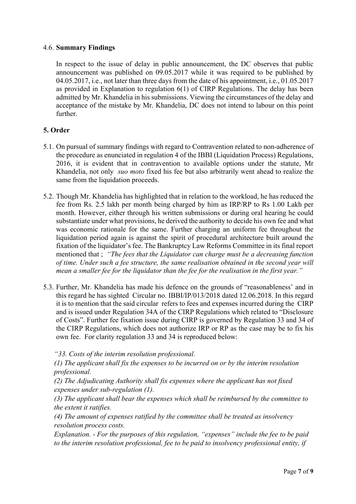#### 4.6. **Summary Findings**

In respect to the issue of delay in public announcement, the DC observes that public announcement was published on 09.05.2017 while it was required to be published by 04.05.2017, i.e., not later than three days from the date of his appointment, i.e., 01.05.2017 as provided in Explanation to regulation 6(1) of CIRP Regulations. The delay has been admitted by Mr. Khandelia in his submissions. Viewing the circumstances of the delay and acceptance of the mistake by Mr. Khandelia, DC does not intend to labour on this point further.

# **5. Order**

- 5.1. On pursual of summary findings with regard to Contravention related to non-adherence of the procedure as enunciated in regulation 4 of the IBBI (Liquidation Process) Regulations, 2016, it is evident that in contravention to available options under the statute, Mr Khandelia, not only *suo moto* fixed his fee but also arbitrarily went ahead to realize the same from the liquidation proceeds.
- 5.2. Though Mr. Khandelia has highlighted that in relation to the workload, he has reduced the fee from Rs. 2.5 lakh per month being charged by him as IRP/RP to Rs 1.00 Lakh per month. However, either through his written submissions or during oral hearing he could substantiate under what provisions, he derived the authority to decide his own fee and what was economic rationale for the same. Further charging an uniform fee throughout the liquidation period again is against the spirit of procedural architecture built around the fixation of the liquidator's fee. The Bankruptcy Law Reforms Committee in its final report mentioned that ; *"The fees that the Liquidator can charge must be a decreasing function of time. Under such a fee structure, the same realisation obtained in the second year will mean a smaller fee for the liquidator than the fee for the realisation in the first year."*
- 5.3. Further, Mr. Khandelia has made his defence on the grounds of "reasonableness' and in this regard he has sighted Circular no. IBBI/IP/013/2018 dated 12.06.2018. In this regard it is to mention that the said circular refers to fees and expenses incurred during the CIRP and is issued under Regulation 34A of the CIRP Regulations which related to "Disclosure of Costs". Further fee fixation issue during CIRP is governed by Regulation 33 and 34 of the CIRP Regulations, which does not authorize IRP or RP as the case may be to fix his own fee. For clarity regulation 33 and 34 is reproduced below:

*"33. Costs of the interim resolution professional.* 

*(1) The applicant shall fix the expenses to be incurred on or by the interim resolution professional.* 

*(2) The Adjudicating Authority shall fix expenses where the applicant has not fixed expenses under sub-regulation (1).* 

*(3) The applicant shall bear the expenses which shall be reimbursed by the committee to the extent it ratifies.* 

*(4) The amount of expenses ratified by the committee shall be treated as insolvency resolution process costs.* 

*Explanation. - For the purposes of this regulation, "expenses" include the fee to be paid to the interim resolution professional, fee to be paid to insolvency professional entity, if*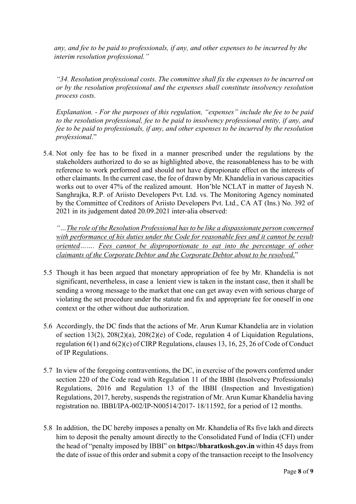*any, and fee to be paid to professionals, if any, and other expenses to be incurred by the interim resolution professional."*

*"34. Resolution professional costs. The committee shall fix the expenses to be incurred on or by the resolution professional and the expenses shall constitute insolvency resolution process costs.*

*Explanation. - For the purposes of this regulation, "expenses" include the fee to be paid to the resolution professional, fee to be paid to insolvency professional entity, if any, and fee to be paid to professionals, if any, and other expenses to be incurred by the resolution professional*."

5.4. Not only fee has to be fixed in a manner prescribed under the regulations by the stakeholders authorized to do so as highlighted above, the reasonableness has to be with reference to work performed and should not have dipropionate effect on the interests of other claimants. In the current case, the fee of drawn by Mr. Khandelia in various capacities works out to over 47% of the realized amount. Hon'ble NCLAT in matter of Jayesh N. Sanghrajka, R.P. of Ariisto Developers Pvt. Ltd. vs. The Monitoring Agency nominated by the Committee of Creditors of Ariisto Developers Pvt. Ltd., CA AT (Ins.) No. 392 of 2021 in its judgement dated 20.09.2021 inter-alia observed:

*"…The role of the Resolution Professional has to be like a dispassionate person concerned with performance of his duties under the Code for reasonable fees and it cannot be result oriented……. Fees cannot be disproportionate to eat into the percentage of other claimants of the Corporate Debtor and the Corporate Debtor about to be resolved*."

- 5.5 Though it has been argued that monetary appropriation of fee by Mr. Khandelia is not significant, nevertheless, in case a lenient view is taken in the instant case, then it shall be sending a wrong message to the market that one can get away even with serious charge of violating the set procedure under the statute and fix and appropriate fee for oneself in one context or the other without due authorization.
- 5.6 Accordingly, the DC finds that the actions of Mr. Arun Kumar Khandelia are in violation of section 13(2), 208(2)(a), 208(2)(e) of Code, regulation 4 of Liquidation Regulations, regulation 6(1) and 6(2)(c) of CIRP Regulations, clauses 13, 16, 25, 26 of Code of Conduct of IP Regulations.
- 5.7 In view of the foregoing contraventions, the DC, in exercise of the powers conferred under section 220 of the Code read with Regulation 11 of the IBBI (Insolvency Professionals) Regulations, 2016 and Regulation 13 of the IBBI (Inspection and Investigation) Regulations, 2017, hereby, suspends the registration of Mr. Arun Kumar Khandelia having registration no. IBBI/IPA-002/IP-N00514/2017- 18/11592, for a period of 12 months.
- 5.8 In addition, the DC hereby imposes a penalty on Mr. Khandelia of Rs five lakh and directs him to deposit the penalty amount directly to the Consolidated Fund of India (CFI) under the head of "penalty imposed by IBBI" on **https://bharatkosh.gov.in** within 45 days from the date of issue of this order and submit a copy of the transaction receipt to the Insolvency